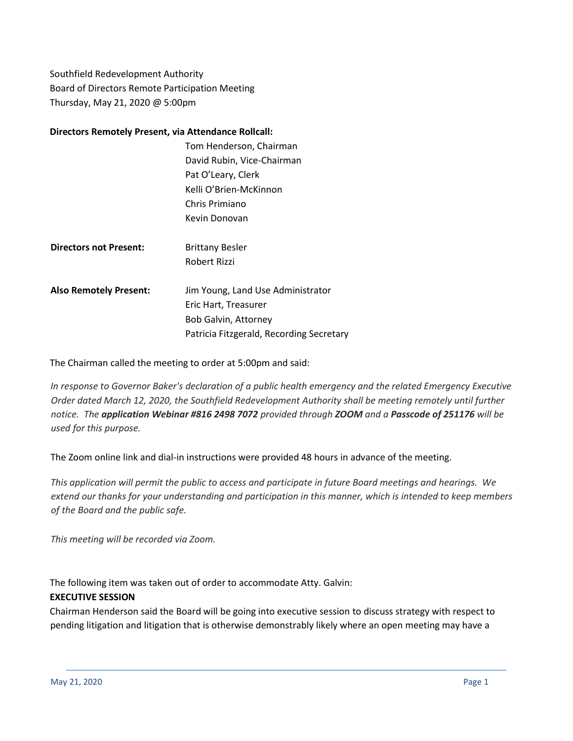Southfield Redevelopment Authority Board of Directors Remote Participation Meeting Thursday, May 21, 2020 @ 5:00pm

### **Directors Remotely Present, via Attendance Rollcall:**

|                               | Tom Henderson, Chairman                  |
|-------------------------------|------------------------------------------|
|                               | David Rubin, Vice-Chairman               |
|                               | Pat O'Leary, Clerk                       |
|                               | Kelli O'Brien-McKinnon                   |
|                               | Chris Primiano                           |
|                               | Kevin Donovan                            |
|                               |                                          |
| <b>Directors not Present:</b> | <b>Brittany Besler</b>                   |
|                               | Robert Rizzi                             |
|                               |                                          |
| <b>Also Remotely Present:</b> | Jim Young, Land Use Administrator        |
|                               | Eric Hart, Treasurer                     |
|                               | Bob Galvin, Attorney                     |
|                               | Patricia Fitzgerald, Recording Secretary |
|                               |                                          |

The Chairman called the meeting to order at 5:00pm and said:

*In response to Governor Baker's declaration of a public health emergency and the related Emergency Executive Order dated March 12, 2020, the Southfield Redevelopment Authority shall be meeting remotely until further notice. The application Webinar #816 2498 7072 provided through ZOOM and a Passcode of 251176 will be used for this purpose.*

The Zoom online link and dial-in instructions were provided 48 hours in advance of the meeting.

This application will permit the public to access and participate in future Board meetings and hearings. We extend our thanks for your understanding and participation in this manner, which is intended to keep members *of the Board and the public safe.*

*This meeting will be recorded via Zoom.*

The following item was taken out of order to accommodate Atty. Galvin:

## **EXECUTIVE SESSION**

Chairman Henderson said the Board will be going into executive session to discuss strategy with respect to pending litigation and litigation that is otherwise demonstrably likely where an open meeting may have a